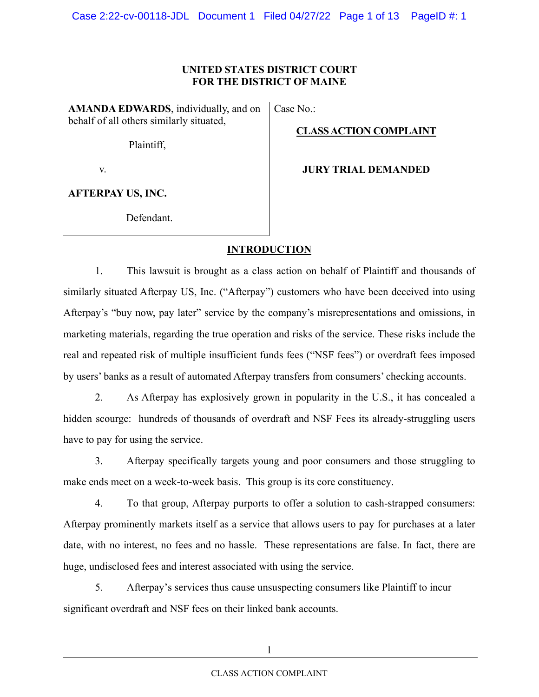## **UNITED STATES DISTRICT COURT FOR THE DISTRICT OF MAINE**

**AMANDA EDWARDS**, individually, and on behalf of all others similarly situated, Case No.:

**CLASS ACTION COMPLAINT** 

Plaintiff,

v.

**JURY TRIAL DEMANDED**

**AFTERPAY US, INC.**

Defendant.

# **INTRODUCTION**

1. This lawsuit is brought as a class action on behalf of Plaintiff and thousands of similarly situated Afterpay US, Inc. ("Afterpay") customers who have been deceived into using Afterpay's "buy now, pay later" service by the company's misrepresentations and omissions, in marketing materials, regarding the true operation and risks of the service. These risks include the real and repeated risk of multiple insufficient funds fees ("NSF fees") or overdraft fees imposed by users' banks as a result of automated Afterpay transfers from consumers' checking accounts.

2. As Afterpay has explosively grown in popularity in the U.S., it has concealed a hidden scourge: hundreds of thousands of overdraft and NSF Fees its already-struggling users have to pay for using the service.

3. Afterpay specifically targets young and poor consumers and those struggling to make ends meet on a week-to-week basis. This group is its core constituency.

4. To that group, Afterpay purports to offer a solution to cash-strapped consumers: Afterpay prominently markets itself as a service that allows users to pay for purchases at a later date, with no interest, no fees and no hassle. These representations are false. In fact, there are huge, undisclosed fees and interest associated with using the service.

5. Afterpay's services thus cause unsuspecting consumers like Plaintiff to incur significant overdraft and NSF fees on their linked bank accounts.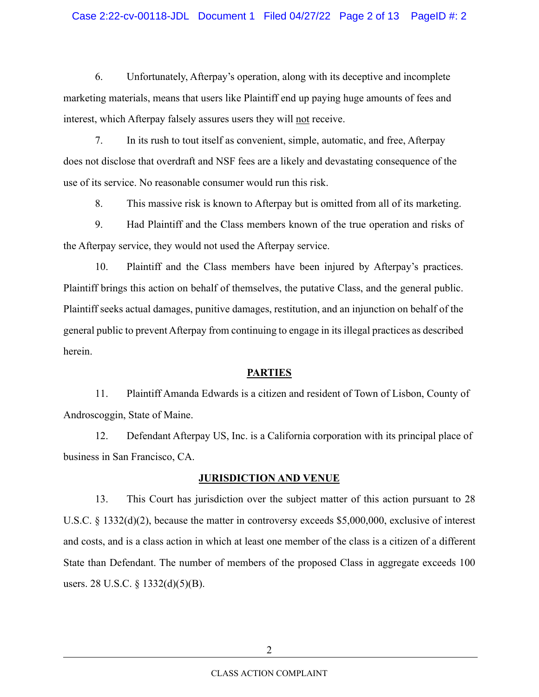#### Case 2:22-cv-00118-JDL Document 1 Filed 04/27/22 Page 2 of 13 PageID #: 2

6. Unfortunately, Afterpay's operation, along with its deceptive and incomplete marketing materials, means that users like Plaintiff end up paying huge amounts of fees and interest, which Afterpay falsely assures users they will not receive.

7. In its rush to tout itself as convenient, simple, automatic, and free, Afterpay does not disclose that overdraft and NSF fees are a likely and devastating consequence of the use of its service. No reasonable consumer would run this risk.

8. This massive risk is known to Afterpay but is omitted from all of its marketing.

9. Had Plaintiff and the Class members known of the true operation and risks of the Afterpay service, they would not used the Afterpay service.

10. Plaintiff and the Class members have been injured by Afterpay's practices. Plaintiff brings this action on behalf of themselves, the putative Class, and the general public. Plaintiff seeks actual damages, punitive damages, restitution, and an injunction on behalf of the general public to prevent Afterpay from continuing to engage in its illegal practices as described herein.

#### **PARTIES**

11. Plaintiff Amanda Edwards is a citizen and resident of Town of Lisbon, County of Androscoggin, State of Maine.

12. Defendant Afterpay US, Inc. is a California corporation with its principal place of business in San Francisco, CA.

#### **JURISDICTION AND VENUE**

13. This Court has jurisdiction over the subject matter of this action pursuant to 28 U.S.C. § 1332(d)(2), because the matter in controversy exceeds \$5,000,000, exclusive of interest and costs, and is a class action in which at least one member of the class is a citizen of a different State than Defendant. The number of members of the proposed Class in aggregate exceeds 100 users. 28 U.S.C. § 1332(d)(5)(B).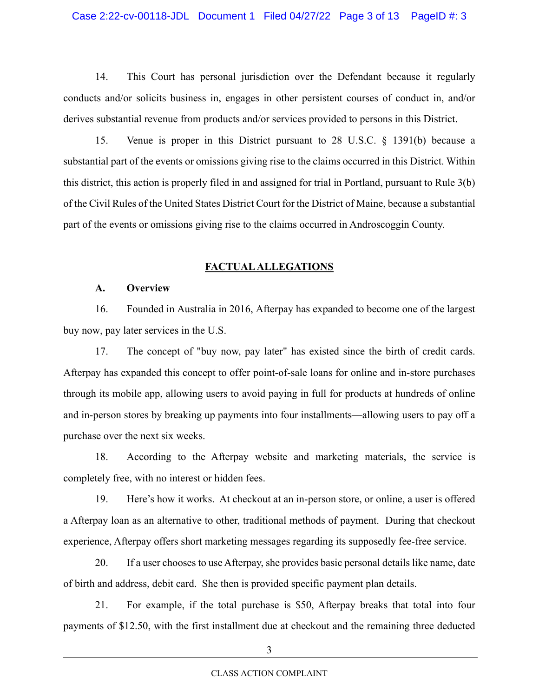14. This Court has personal jurisdiction over the Defendant because it regularly conducts and/or solicits business in, engages in other persistent courses of conduct in, and/or derives substantial revenue from products and/or services provided to persons in this District.

15. Venue is proper in this District pursuant to 28 U.S.C. § 1391(b) because a substantial part of the events or omissions giving rise to the claims occurred in this District. Within this district, this action is properly filed in and assigned for trial in Portland, pursuant to Rule 3(b) of the Civil Rules of the United States District Court for the District of Maine, because a substantial part of the events or omissions giving rise to the claims occurred in Androscoggin County.

## **FACTUAL ALLEGATIONS**

## **A. Overview**

16. Founded in Australia in 2016, Afterpay has expanded to become one of the largest buy now, pay later services in the U.S.

17. The concept of "buy now, pay later" has existed since the birth of credit cards. Afterpay has expanded this concept to offer point-of-sale loans for online and in-store purchases through its mobile app, allowing users to avoid paying in full for products at hundreds of online and in-person stores by breaking up payments into four installments—allowing users to pay off a purchase over the next six weeks.

18. According to the Afterpay website and marketing materials, the service is completely free, with no interest or hidden fees.

19. Here's how it works. At checkout at an in-person store, or online, a user is offered a Afterpay loan as an alternative to other, traditional methods of payment. During that checkout experience, Afterpay offers short marketing messages regarding its supposedly fee-free service.

20. If a user chooses to use Afterpay, she provides basic personal details like name, date of birth and address, debit card. She then is provided specific payment plan details.

21. For example, if the total purchase is \$50, Afterpay breaks that total into four payments of \$12.50, with the first installment due at checkout and the remaining three deducted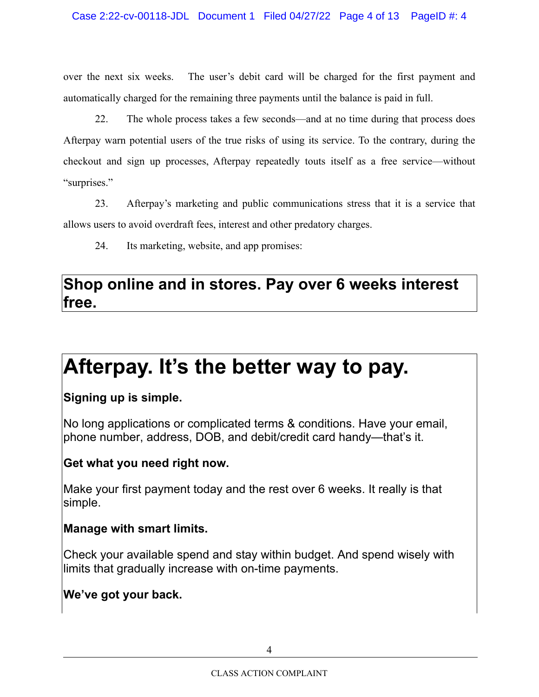over the next six weeks. The user's debit card will be charged for the first payment and automatically charged for the remaining three payments until the balance is paid in full.

22. The whole process takes a few seconds—and at no time during that process does Afterpay warn potential users of the true risks of using its service. To the contrary, during the checkout and sign up processes, Afterpay repeatedly touts itself as a free service—without "surprises."

23. Afterpay's marketing and public communications stress that it is a service that allows users to avoid overdraft fees, interest and other predatory charges.

24. Its marketing, website, and app promises:

# **Shop online and in stores. Pay over 6 weeks interest free.**

# **Afterpay. It's the better way to pay.**

# **Signing up is simple.**

No long applications or complicated terms & conditions. Have your email, phone number, address, DOB, and debit/credit card handy—that's it.

# **Get what you need right now.**

Make your first payment today and the rest over 6 weeks. It really is that simple.

# **Manage with smart limits.**

Check your available spend and stay within budget. And spend wisely with limits that gradually increase with on-time payments.

# **We've got your back.**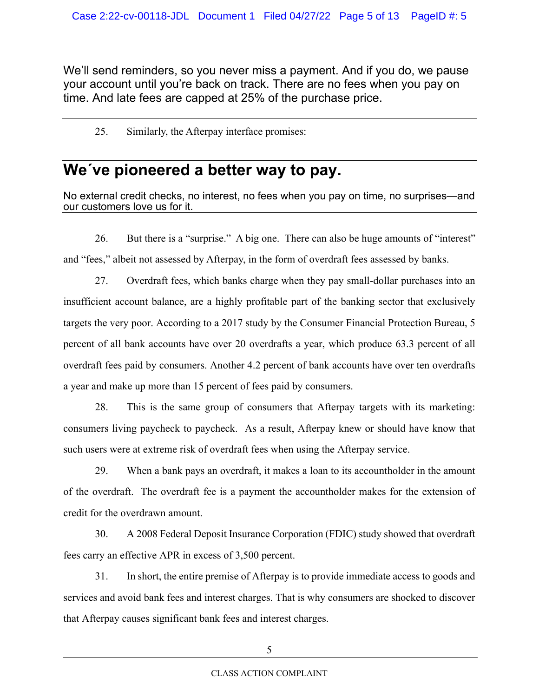We'll send reminders, so you never miss a payment. And if you do, we pause your account until you're back on track. There are no fees when you pay on time. And late fees are capped at 25% of the purchase price.

## 25. Similarly, the Afterpay interface promises:

# **We´ve pioneered a better way to pay.**

No external credit checks, no interest, no fees when you pay on time, no surprises—and our customers love us for it.

26. But there is a "surprise." A big one. There can also be huge amounts of "interest" and "fees," albeit not assessed by Afterpay, in the form of overdraft fees assessed by banks.

27. Overdraft fees, which banks charge when they pay small-dollar purchases into an insufficient account balance, are a highly profitable part of the banking sector that exclusively targets the very poor. According to a 2017 study by the Consumer Financial Protection Bureau, 5 percent of all bank accounts have over 20 overdrafts a year, which produce 63.3 percent of all overdraft fees paid by consumers. Another 4.2 percent of bank accounts have over ten overdrafts a year and make up more than 15 percent of fees paid by consumers.

28. This is the same group of consumers that Afterpay targets with its marketing: consumers living paycheck to paycheck. As a result, Afterpay knew or should have know that such users were at extreme risk of overdraft fees when using the Afterpay service.

29. When a bank pays an overdraft, it makes a loan to its accountholder in the amount of the overdraft. The overdraft fee is a payment the accountholder makes for the extension of credit for the overdrawn amount.

30. A 2008 Federal Deposit Insurance Corporation (FDIC) study showed that overdraft fees carry an effective APR in excess of 3,500 percent.

31. In short, the entire premise of Afterpay is to provide immediate access to goods and services and avoid bank fees and interest charges. That is why consumers are shocked to discover that Afterpay causes significant bank fees and interest charges.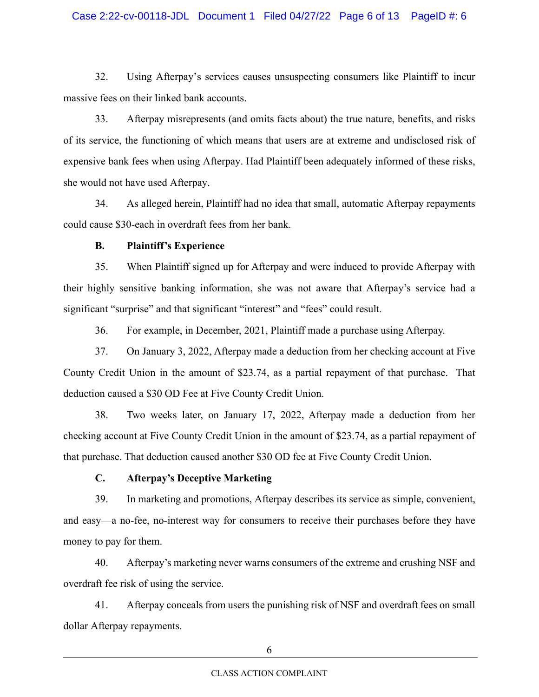#### Case 2:22-cv-00118-JDL Document 1 Filed 04/27/22 Page 6 of 13 PageID #: 6

32. Using Afterpay's services causes unsuspecting consumers like Plaintiff to incur massive fees on their linked bank accounts.

33. Afterpay misrepresents (and omits facts about) the true nature, benefits, and risks of its service, the functioning of which means that users are at extreme and undisclosed risk of expensive bank fees when using Afterpay. Had Plaintiff been adequately informed of these risks, she would not have used Afterpay.

34. As alleged herein, Plaintiff had no idea that small, automatic Afterpay repayments could cause \$30-each in overdraft fees from her bank.

#### **B. Plaintiff's Experience**

35. When Plaintiff signed up for Afterpay and were induced to provide Afterpay with their highly sensitive banking information, she was not aware that Afterpay's service had a significant "surprise" and that significant "interest" and "fees" could result.

36. For example, in December, 2021, Plaintiff made a purchase using Afterpay.

37. On January 3, 2022, Afterpay made a deduction from her checking account at Five County Credit Union in the amount of \$23.74, as a partial repayment of that purchase. That deduction caused a \$30 OD Fee at Five County Credit Union.

38. Two weeks later, on January 17, 2022, Afterpay made a deduction from her checking account at Five County Credit Union in the amount of \$23.74, as a partial repayment of that purchase. That deduction caused another \$30 OD fee at Five County Credit Union.

## **C. Afterpay's Deceptive Marketing**

39. In marketing and promotions, Afterpay describes its service as simple, convenient, and easy—a no-fee, no-interest way for consumers to receive their purchases before they have money to pay for them.

40. Afterpay's marketing never warns consumers of the extreme and crushing NSF and overdraft fee risk of using the service.

41. Afterpay conceals from users the punishing risk of NSF and overdraft fees on small dollar Afterpay repayments.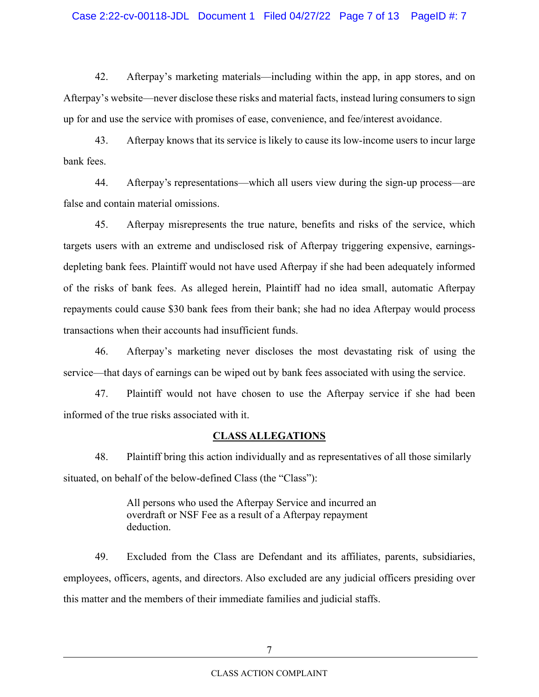#### Case 2:22-cv-00118-JDL Document 1 Filed 04/27/22 Page 7 of 13 PageID #: 7

42. Afterpay's marketing materials—including within the app, in app stores, and on Afterpay's website—never disclose these risks and material facts, instead luring consumers to sign up for and use the service with promises of ease, convenience, and fee/interest avoidance.

43. Afterpay knows that its service is likely to cause its low-income users to incur large bank fees.

44. Afterpay's representations—which all users view during the sign-up process—are false and contain material omissions.

45. Afterpay misrepresents the true nature, benefits and risks of the service, which targets users with an extreme and undisclosed risk of Afterpay triggering expensive, earningsdepleting bank fees. Plaintiff would not have used Afterpay if she had been adequately informed of the risks of bank fees. As alleged herein, Plaintiff had no idea small, automatic Afterpay repayments could cause \$30 bank fees from their bank; she had no idea Afterpay would process transactions when their accounts had insufficient funds.

46. Afterpay's marketing never discloses the most devastating risk of using the service—that days of earnings can be wiped out by bank fees associated with using the service.

47. Plaintiff would not have chosen to use the Afterpay service if she had been informed of the true risks associated with it.

## **CLASS ALLEGATIONS**

48. Plaintiff bring this action individually and as representatives of all those similarly situated, on behalf of the below-defined Class (the "Class"):

> All persons who used the Afterpay Service and incurred an overdraft or NSF Fee as a result of a Afterpay repayment deduction.

49. Excluded from the Class are Defendant and its affiliates, parents, subsidiaries, employees, officers, agents, and directors. Also excluded are any judicial officers presiding over this matter and the members of their immediate families and judicial staffs.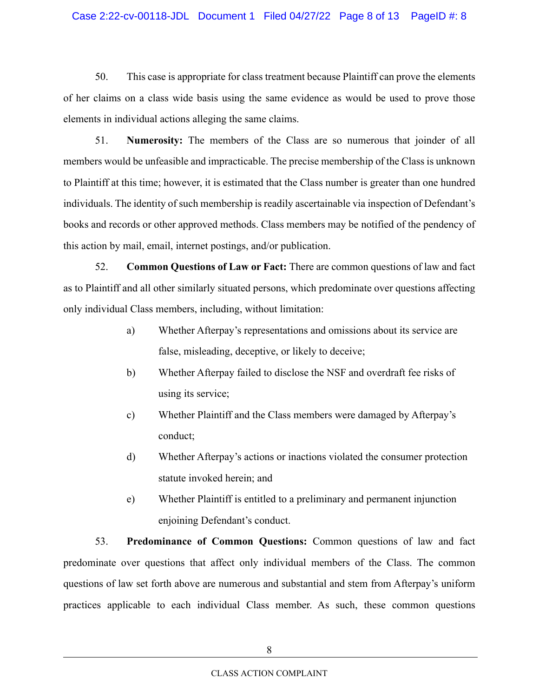#### Case 2:22-cv-00118-JDL Document 1 Filed 04/27/22 Page 8 of 13 PageID #: 8

50. This case is appropriate for class treatment because Plaintiff can prove the elements of her claims on a class wide basis using the same evidence as would be used to prove those elements in individual actions alleging the same claims.

51. **Numerosity:** The members of the Class are so numerous that joinder of all members would be unfeasible and impracticable. The precise membership of the Class is unknown to Plaintiff at this time; however, it is estimated that the Class number is greater than one hundred individuals. The identity of such membership is readily ascertainable via inspection of Defendant's books and records or other approved methods. Class members may be notified of the pendency of this action by mail, email, internet postings, and/or publication.

52. **Common Questions of Law or Fact:** There are common questions of law and fact as to Plaintiff and all other similarly situated persons, which predominate over questions affecting only individual Class members, including, without limitation:

- a) Whether Afterpay's representations and omissions about its service are false, misleading, deceptive, or likely to deceive;
- b) Whether Afterpay failed to disclose the NSF and overdraft fee risks of using its service;
- c) Whether Plaintiff and the Class members were damaged by Afterpay's conduct;
- d) Whether Afterpay's actions or inactions violated the consumer protection statute invoked herein; and
- e) Whether Plaintiff is entitled to a preliminary and permanent injunction enjoining Defendant's conduct.

53. **Predominance of Common Questions:** Common questions of law and fact predominate over questions that affect only individual members of the Class. The common questions of law set forth above are numerous and substantial and stem from Afterpay's uniform practices applicable to each individual Class member. As such, these common questions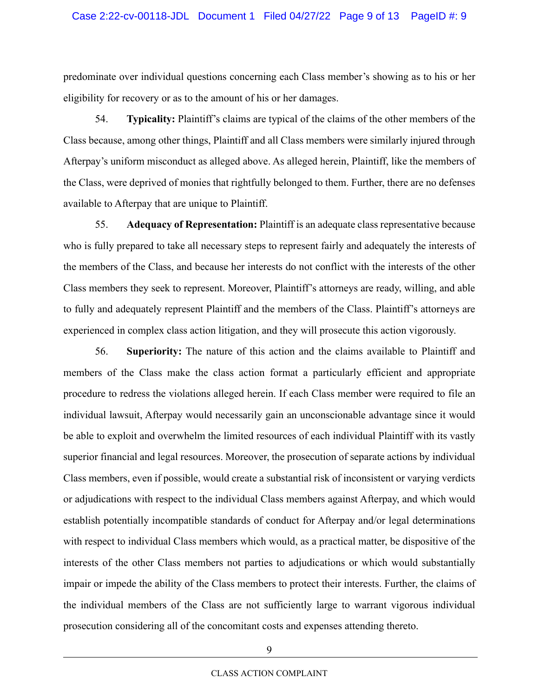predominate over individual questions concerning each Class member's showing as to his or her eligibility for recovery or as to the amount of his or her damages.

54. **Typicality:** Plaintiff's claims are typical of the claims of the other members of the Class because, among other things, Plaintiff and all Class members were similarly injured through Afterpay's uniform misconduct as alleged above. As alleged herein, Plaintiff, like the members of the Class, were deprived of monies that rightfully belonged to them. Further, there are no defenses available to Afterpay that are unique to Plaintiff.

55. **Adequacy of Representation:** Plaintiff is an adequate class representative because who is fully prepared to take all necessary steps to represent fairly and adequately the interests of the members of the Class, and because her interests do not conflict with the interests of the other Class members they seek to represent. Moreover, Plaintiff's attorneys are ready, willing, and able to fully and adequately represent Plaintiff and the members of the Class. Plaintiff's attorneys are experienced in complex class action litigation, and they will prosecute this action vigorously.

56. **Superiority:** The nature of this action and the claims available to Plaintiff and members of the Class make the class action format a particularly efficient and appropriate procedure to redress the violations alleged herein. If each Class member were required to file an individual lawsuit, Afterpay would necessarily gain an unconscionable advantage since it would be able to exploit and overwhelm the limited resources of each individual Plaintiff with its vastly superior financial and legal resources. Moreover, the prosecution of separate actions by individual Class members, even if possible, would create a substantial risk of inconsistent or varying verdicts or adjudications with respect to the individual Class members against Afterpay, and which would establish potentially incompatible standards of conduct for Afterpay and/or legal determinations with respect to individual Class members which would, as a practical matter, be dispositive of the interests of the other Class members not parties to adjudications or which would substantially impair or impede the ability of the Class members to protect their interests. Further, the claims of the individual members of the Class are not sufficiently large to warrant vigorous individual prosecution considering all of the concomitant costs and expenses attending thereto.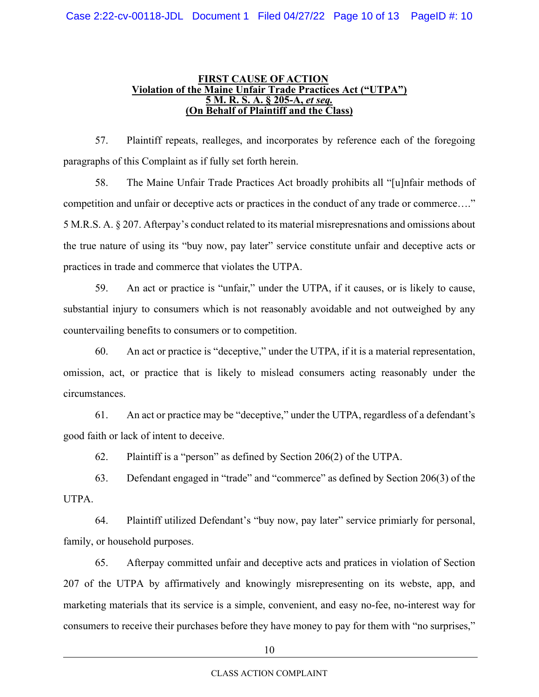#### **FIRST CAUSE OF ACTION Violation of the Maine Unfair Trade Practices Act ("UTPA") 5 M. R. S. A. § 205-A,** *et seq.*  **(On Behalf of Plaintiff and the Class)**

57. Plaintiff repeats, realleges, and incorporates by reference each of the foregoing paragraphs of this Complaint as if fully set forth herein.

58. The Maine Unfair Trade Practices Act broadly prohibits all "[u]nfair methods of competition and unfair or deceptive acts or practices in the conduct of any trade or commerce…." 5 M.R.S. A. § 207. Afterpay's conduct related to its material misrepresnations and omissions about the true nature of using its "buy now, pay later" service constitute unfair and deceptive acts or practices in trade and commerce that violates the UTPA.

59. An act or practice is "unfair," under the UTPA, if it causes, or is likely to cause, substantial injury to consumers which is not reasonably avoidable and not outweighed by any countervailing benefits to consumers or to competition.

60. An act or practice is "deceptive," under the UTPA, if it is a material representation, omission, act, or practice that is likely to mislead consumers acting reasonably under the circumstances.

61. An act or practice may be "deceptive," under the UTPA, regardless of a defendant's good faith or lack of intent to deceive.

62. Plaintiff is a "person" as defined by Section 206(2) of the UTPA.

63. Defendant engaged in "trade" and "commerce" as defined by Section 206(3) of the UTPA.

64. Plaintiff utilized Defendant's "buy now, pay later" service primiarly for personal, family, or household purposes.

65. Afterpay committed unfair and deceptive acts and pratices in violation of Section 207 of the UTPA by affirmatively and knowingly misrepresenting on its webste, app, and marketing materials that its service is a simple, convenient, and easy no-fee, no-interest way for consumers to receive their purchases before they have money to pay for them with "no surprises,"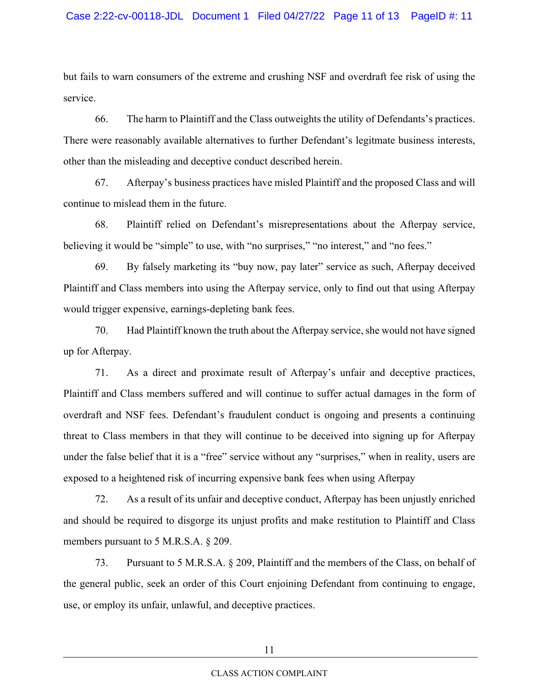but fails to warn consumers of the extreme and crushing NSF and overdraft fee risk of using the service.

66. The harm to Plaintiff and the Class outweights the utility of Defendants's practices. There were reasonably available alternatives to further Defendant's legitmate business interests, other than the misleading and deceptive conduct described herein.

67. Afterpay's business practices have misled Plaintiff and the proposed Class and will continue to mislead them in the future.

68. Plaintiff relied on Defendant's misrepresentations about the Afterpay service, believing it would be "simple" to use, with "no surprises," "no interest," and "no fees."

69. By falsely marketing its "buy now, pay later" service as such, Afterpay deceived Plaintiff and Class members into using the Afterpay service, only to find out that using Afterpay would trigger expensive, earnings-depleting bank fees.

70. Had Plaintiff known the truth about the Afterpay service, she would not have signed up for Afterpay.

71. As a direct and proximate result of Afterpay's unfair and deceptive practices, Plaintiff and Class members suffered and will continue to suffer actual damages in the form of overdraft and NSF fees. Defendant's fraudulent conduct is ongoing and presents a continuing threat to Class members in that they will continue to be deceived into signing up for Afterpay under the false belief that it is a "free" service without any "surprises," when in reality, users are exposed to a heightened risk of incurring expensive bank fees when using Afterpay

72. As a result of its unfair and deceptive conduct, Afterpay has been unjustly enriched and should be required to disgorge its unjust profits and make restitution to Plaintiff and Class members pursuant to 5 M.R.S.A. § 209.

73. Pursuant to 5 M.R.S.A. § 209, Plaintiff and the members of the Class, on behalf of the general public, seek an order of this Court enjoining Defendant from continuing to engage, use, or employ its unfair, unlawful, and deceptive practices.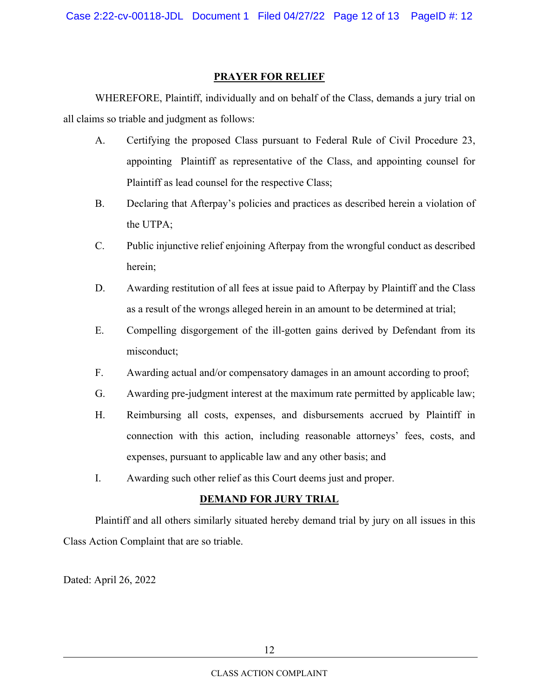## **PRAYER FOR RELIEF**

WHEREFORE, Plaintiff, individually and on behalf of the Class, demands a jury trial on all claims so triable and judgment as follows:

- A. Certifying the proposed Class pursuant to Federal Rule of Civil Procedure 23, appointing Plaintiff as representative of the Class, and appointing counsel for Plaintiff as lead counsel for the respective Class;
- B. Declaring that Afterpay's policies and practices as described herein a violation of the UTPA;
- C. Public injunctive relief enjoining Afterpay from the wrongful conduct as described herein;
- D. Awarding restitution of all fees at issue paid to Afterpay by Plaintiff and the Class as a result of the wrongs alleged herein in an amount to be determined at trial;
- E. Compelling disgorgement of the ill-gotten gains derived by Defendant from its misconduct;
- F. Awarding actual and/or compensatory damages in an amount according to proof;
- G. Awarding pre-judgment interest at the maximum rate permitted by applicable law;
- H. Reimbursing all costs, expenses, and disbursements accrued by Plaintiff in connection with this action, including reasonable attorneys' fees, costs, and expenses, pursuant to applicable law and any other basis; and
- I. Awarding such other relief as this Court deems just and proper.

## **DEMAND FOR JURY TRIAL**

 Plaintiff and all others similarly situated hereby demand trial by jury on all issues in this Class Action Complaint that are so triable.

Dated: April 26, 2022